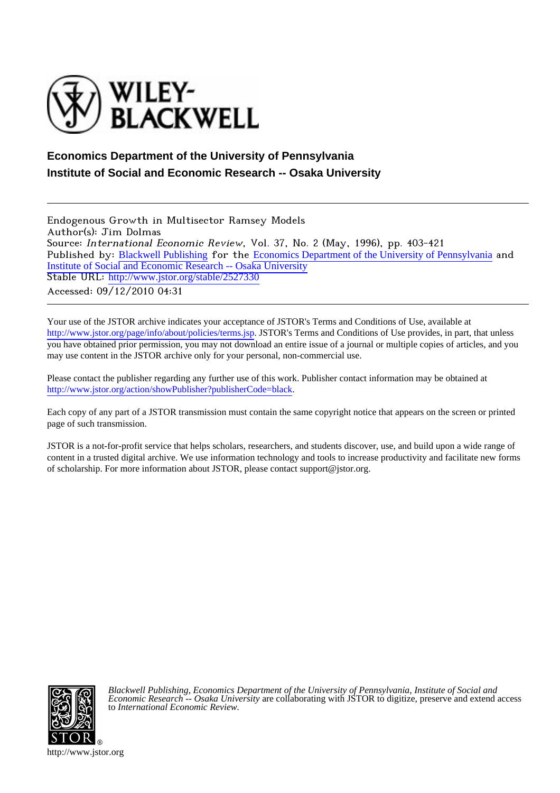

# **Economics Department of the University of Pennsylvania Institute of Social and Economic Research -- Osaka University**

Endogenous Growth in Multisector Ramsey Models Author(s): Jim Dolmas Source: International Economic Review, Vol. 37, No. 2 (May, 1996), pp. 403-421 Published by: [Blackwell Publishing](http://www.jstor.org/action/showPublisher?publisherCode=black) for the [Economics Department of the University of Pennsylvania](http://www.jstor.org/action/showPublisher?publisherCode=ier_pub) and [Institute of Social and Economic Research -- Osaka University](http://www.jstor.org/action/showPublisher?publisherCode=iser) Stable URL: [http://www.jstor.org/stable/2527330](http://www.jstor.org/stable/2527330?origin=JSTOR-pdf) Accessed: 09/12/2010 04:31

Your use of the JSTOR archive indicates your acceptance of JSTOR's Terms and Conditions of Use, available at <http://www.jstor.org/page/info/about/policies/terms.jsp>. JSTOR's Terms and Conditions of Use provides, in part, that unless you have obtained prior permission, you may not download an entire issue of a journal or multiple copies of articles, and you may use content in the JSTOR archive only for your personal, non-commercial use.

Please contact the publisher regarding any further use of this work. Publisher contact information may be obtained at [http://www.jstor.org/action/showPublisher?publisherCode=black.](http://www.jstor.org/action/showPublisher?publisherCode=black)

Each copy of any part of a JSTOR transmission must contain the same copyright notice that appears on the screen or printed page of such transmission.

JSTOR is a not-for-profit service that helps scholars, researchers, and students discover, use, and build upon a wide range of content in a trusted digital archive. We use information technology and tools to increase productivity and facilitate new forms of scholarship. For more information about JSTOR, please contact support@jstor.org.



*Blackwell Publishing*, *Economics Department of the University of Pennsylvania*, *Institute of Social and Economic Research -- Osaka University* are collaborating with JSTOR to digitize, preserve and extend access to *International Economic Review.*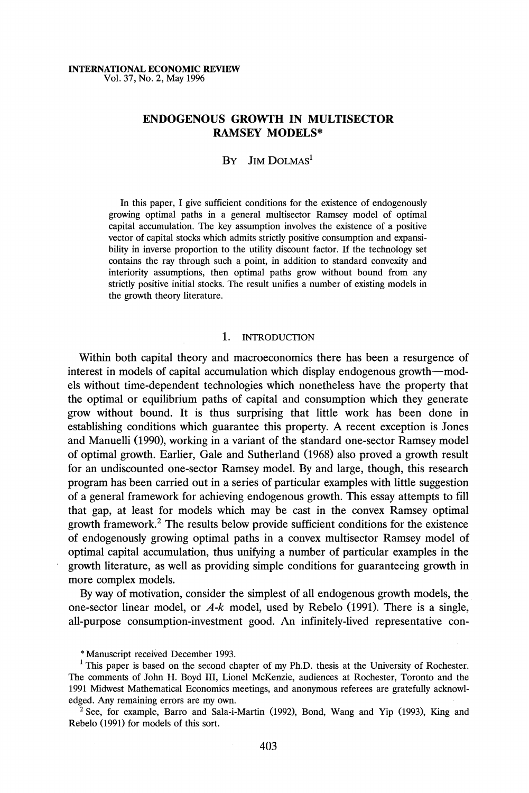# **ENDOGENOUS GROWTH IN MULTISECTOR RAMSEY MODELS\***

# **BY JIM DOLMAS1**

**In this paper, I give sufficient conditions for the existence of endogenously growing optimal paths in a general multisector Ramsey model of optimal capital accumulation. The key assumption involves the existence of a positive vector of capital stocks which admits strictly positive consumption and expansibility in inverse proportion to the utility discount factor. If the technology set contains the ray through such a point, in addition to standard convexity and interiority assumptions, then optimal paths grow without bound from any strictly positive initial stocks. The result unifies a number of existing models in the growth theory literature.** 

## **1. INTRODUCTION**

**Within both capital theory and macroeconomics there has been a resurgence of interest in models of capital accumulation which display endogenous growth-models without time-dependent technologies which nonetheless have the property that the optimal or equilibrium paths of capital and consumption which they generate grow without bound. It is thus surprising that little work has been done in establishing conditions which guarantee this property. A recent exception is Jones and Manuelli (1990), working in a variant of the standard one-sector Ramsey model of optimal growth. Earlier, Gale and Sutherland (1968) also proved a growth result for an undiscounted one-sector Ramsey model. By and large, though, this research program has been carried out in a series of particular examples with little suggestion of a general framework for achieving endogenous growth. This essay attempts to fill that gap, at least for models which may be cast in the convex Ramsey optimal growth framework.2 The results below provide sufficient conditions for the existence of endogenously growing optimal paths in a convex multisector Ramsey model of optimal capital accumulation, thus unifying a number of particular examples in the growth literature, as well as providing simple conditions for guaranteeing growth in more complex models.** 

**By way of motivation, consider the simplest of all endogenous growth models, the one-sector linear model, or A-k model, used by Rebelo (1991). There is a single, all-purpose consumption-investment good. An infinitely-lived representative con-** 

**<sup>2</sup>See, for example, Barro and Sala-i-Martin (1992), Bond, Wang and Yip (1993), King and Rebelo (1991) for models of this sort.** 

**<sup>\*</sup> Manuscript received December 1993.** 

**l This paper is based on the second chapter of my Ph.D. thesis at the University of Rochester. The comments of John H. Boyd III, Lionel McKenzie, audiences at Rochester, Toronto and the 1991 Midwest Mathematical Economics meetings, and anonymous referees are gratefully acknowledged. Any remaining errors are my own.**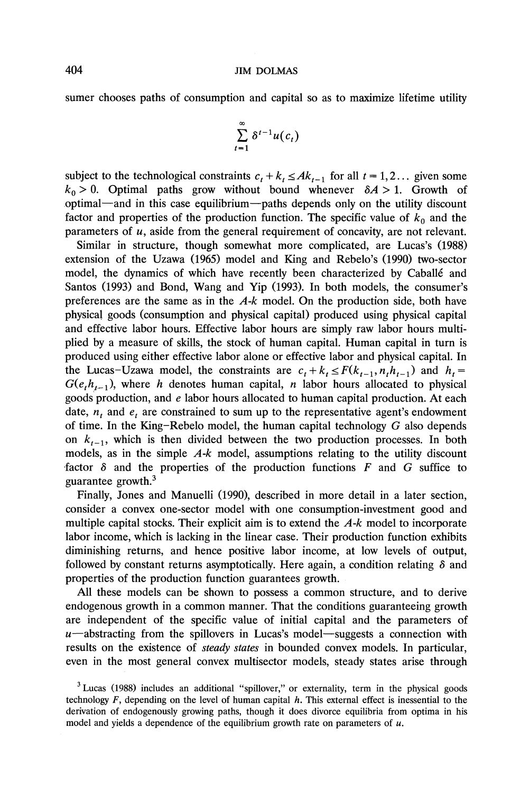**sumer chooses paths of consumption and capital so as to maximize lifetime utility** 

$$
\sum_{t=1}^{\infty} \delta^{t-1} u(c_t)
$$

subject to the technological constraints  $c_t + k_t \leq Ak_{t-1}$  for all  $t = 1, 2...$  given some  $k_0 > 0$ . Optimal paths grow without bound whenever  $\delta A > 1$ . Growth of optimal-and in this case equilibrium-paths depends only on the utility discount factor and properties of the production function. The specific value of  $k_0$  and the **parameters of u, aside from the general requirement of concavity, are not relevant.** 

**Similar in structure, though somewhat more complicated, are Lucas's (1988) extension of the Uzawa (1965) model and King and Rebelo's (1990) two-sector model, the dynamics of which have recently been characterized by Caballe and Santos (1993) and Bond, Wang and Yip (1993). In both models, the consumer's preferences are the same as in the A-k model. On the production side, both have physical goods (consumption and physical capital) produced using physical capital and effective labor hours. Effective labor hours are simply raw labor hours multiplied by a measure of skills, the stock of human capital. Human capital in turn is produced using either effective labor alone or effective labor and physical capital. In**  the Lucas-Uzawa model, the constraints are  $c_t + k_t \leq F(k_{t-1}, n_t h_{t-1})$  and  $h_t =$  $G(e, h_{t-1})$ , where h denotes human capital, n labor hours allocated to physical **goods production, and e labor hours allocated to human capital production. At each**  date,  $n<sub>t</sub>$  and  $e<sub>t</sub>$  are constrained to sum up to the representative agent's endowment **of time. In the King-Rebelo model, the human capital technology G also depends**  on  $k_{t-1}$ , which is then divided between the two production processes. In both **models, as in the simple A-k model, assumptions relating to the utility discount**  factor  $\delta$  and the properties of the production functions  $F$  and  $G$  suffice to **guarantee growth.3** 

**Finally, Jones and Manuelli (1990), described in more detail in a later section, consider a convex one-sector model with one consumption-investment good and multiple capital stocks. Their explicit aim is to extend the A-k model to incorporate labor income, which is lacking in the linear case. Their production function exhibits diminishing returns, and hence positive labor income, at low levels of output,**  followed by constant returns asymptotically. Here again, a condition relating  $\delta$  and **properties of the production function guarantees growth.** 

**All these models can be shown to possess a common structure, and to derive endogenous growth in a common manner. That the conditions guaranteeing growth are independent of the specific value of initial capital and the parameters of**  u-abstracting from the spillovers in Lucas's model-suggests a connection with **results on the existence of steady states in bounded convex models. In particular, even in the most general convex multisector models, steady states arise through** 

**<sup>3</sup>Lucas (1988) includes an additional "spillover," or externality, term in the physical goods technology F, depending on the level of human capital h. This external effect is inessential to the derivation of endogenously growing paths, though it does divorce equilibria from optima in his model and yields a dependence of the equilibrium growth rate on parameters of u.**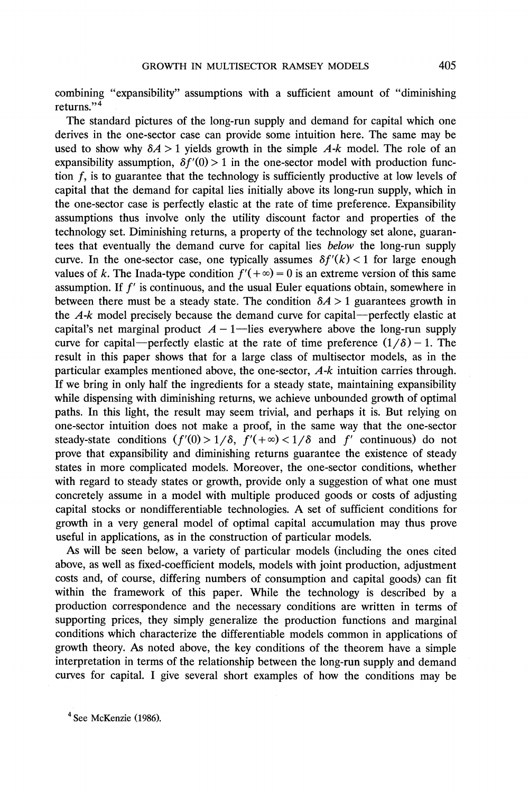**combining "expansibility" assumptions with a sufficient amount of "diminishing returns."4** 

**The standard pictures of the long-run supply and demand for capital which one derives in the one-sector case can provide some intuition here. The same may be**  used to show why  $\delta A > 1$  yields growth in the simple  $A-k$  model. The role of an expansibility assumption,  $\delta f'(0) > 1$  in the one-sector model with production func**tion f, is to guarantee that the technology is sufficiently productive at low levels of capital that the demand for capital lies initially above its long-run supply, which in the one-sector case is perfectly elastic at the rate of time preference. Expansibility assumptions thus involve only the utility discount factor and properties of the technology set. Diminishing returns, a property of the technology set alone, guarantees that eventually the demand curve for capital lies below the long-run supply**  curve. In the one-sector case, one typically assumes  $\delta f'(k) < 1$  for large enough values of k. The Inada-type condition  $f'(+\infty) = 0$  is an extreme version of this same **assumption. If f' is continuous, and the usual Euler equations obtain, somewhere in**  between there must be a steady state. The condition  $\delta A > 1$  guarantees growth in **the A-k model precisely because the demand curve for capital-perfectly elastic at**  capital's net marginal product  $A - 1$ -lies everywhere above the long-run supply curve for capital—perfectly elastic at the rate of time preference  $(1/\delta) - 1$ . The **result in this paper shows that for a large class of multisector models, as in the particular examples mentioned above, the one-sector, A-k intuition carries through. If we bring in only half the ingredients for a steady state, maintaining expansibility while dispensing with diminishing returns, we achieve unbounded growth of optimal paths. In this light, the result may seem trivial, and perhaps it is. But relying on one-sector intuition does not make a proof, in the same way that the one-sector**  steady-state conditions  $(f'(0) > 1/\delta, f'(+\infty) < 1/\delta$  and f' continuous) do not **prove that expansibility and diminishing returns guarantee the existence of steady states in more complicated models. Moreover, the one-sector conditions, whether with regard to steady states or growth, provide only a suggestion of what one must concretely assume in a model with multiple produced goods or costs of adjusting capital stocks or nondifferentiable technologies. A set of sufficient conditions for growth in a very general model of optimal capital accumulation may thus prove useful in applications, as in the construction of particular models.** 

**As will be seen below, a variety of particular models (including the ones cited above, as well as fixed-coefficient models, models with joint production, adjustment costs and, of course, differing numbers of consumption and capital goods) can fit within the framework of this paper. While the technology is described by a production correspondence and the necessary conditions are written in terms of supporting prices, they simply generalize the production functions and marginal conditions which characterize the differentiable models common in applications of growth theory. As noted above, the key conditions of the theorem have a simple interpretation in terms of the relationship between the long-run supply and demand curves for capital. I give several short examples of how the conditions may be** 

**4 See McKenzie (1986).**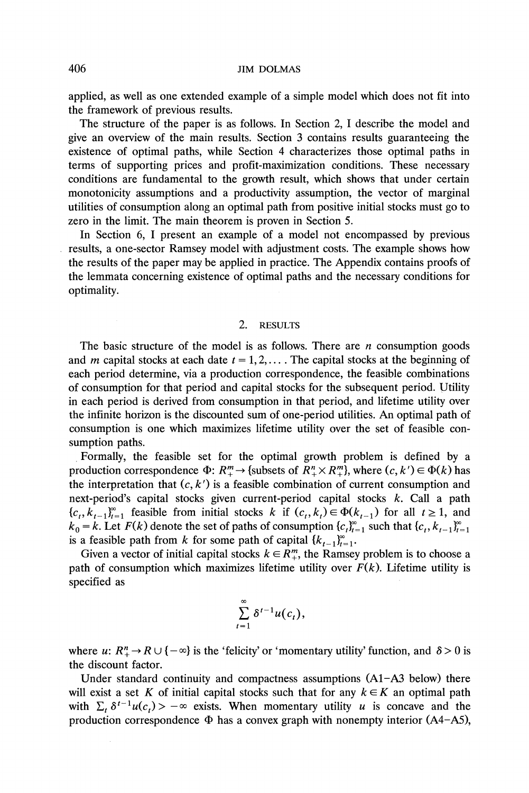**applied, as well as one extended example of a simple model which does not fit into the framework of previous results.** 

**The structure of the paper is as follows. In Section 2, I describe the model and give an overview of the main results. Section 3 contains results guaranteeing the existence of optimal paths, while Section 4 characterizes those optimal paths in terms of supporting prices and profit-maximization conditions. These necessary conditions are fundamental to the growth result, which shows that under certain monotonicity assumptions and a productivity assumption, the vector of marginal utilities of consumption along an optimal path from positive initial stocks must go to zero in the limit. The main theorem is proven in Section 5.** 

**In Section 6, I present an example of a model not encompassed by previous results, a one-sector Ramsey model with adjustment costs. The example shows how the results of the paper may be applied in practice. The Appendix contains proofs of the lemmata concerning existence of optimal paths and the necessary conditions for optimality.** 

# **2. RESULTS**

**The basic structure of the model is as follows. There are n consumption goods**  and *m* capital stocks at each date  $t = 1, 2, \ldots$ . The capital stocks at the beginning of **each period determine, via a production correspondence, the feasible combinations of consumption for that period and capital stocks for the subsequent period. Utility in each period is derived from consumption in that period, and lifetime utility over the infinite horizon is the discounted sum of one-period utilities. An optimal path of consumption is one which maximizes lifetime utility over the set of feasible consumption paths.** 

**Formally, the feasible set for the optimal growth problem is defined by a**  production correspondence  $\Phi: R^m_+ \to \{$ subsets of  $R^n_+ \times R^m_+ \}$ , where  $(c, k') \in \Phi(k)$  has the interpretation that  $(c, k')$  is a feasible combination of current consumption and **next-period's capital stocks given current-period capital stocks k. Call a path**   ${c_t, k_{t-1}}_{t=1}^{\infty}$  feasible from initial stocks k if  $(c_t, k_t) \in \Phi(k_{t-1})$  for all  $t \ge 1$ , and  $k_0 = k$ . Let  $F(k)$  denote the set of paths of consumption  ${c_i}_{i=1}^{\infty}$  such that  ${c_i, k_{i-1}}_{i=1}^{\infty}$ is a feasible path from k for some path of capital  $\{k_{t-1}\}_{t=1}^{\infty}$ .

Given a vector of initial capital stocks  $k \in R_{+}^{m}$ , the Ramsey problem is to choose a path of consumption which maximizes lifetime utility over  $F(k)$ . Lifetime utility is **specified as** 

$$
\sum_{t=1}^{\infty} \delta^{t-1} u(c_t),
$$

 $\overline{\phantom{0}}$ 

**where u:**  $R_+^n \to R \cup \{-\infty\}$  is the 'felicity' or 'momentary utility' function, and  $\delta > 0$  is **the discount factor.** 

**Under standard continuity and compactness assumptions (A1-A3 below) there**  will exist a set K of initial capital stocks such that for any  $k \in K$  an optimal path with  $\sum_{t} \delta^{t-1}u(c_t) > -\infty$  exists. When momentary utility u is concave and the production correspondence  $\Phi$  has a convex graph with nonempty interior  $(A4-A5)$ ,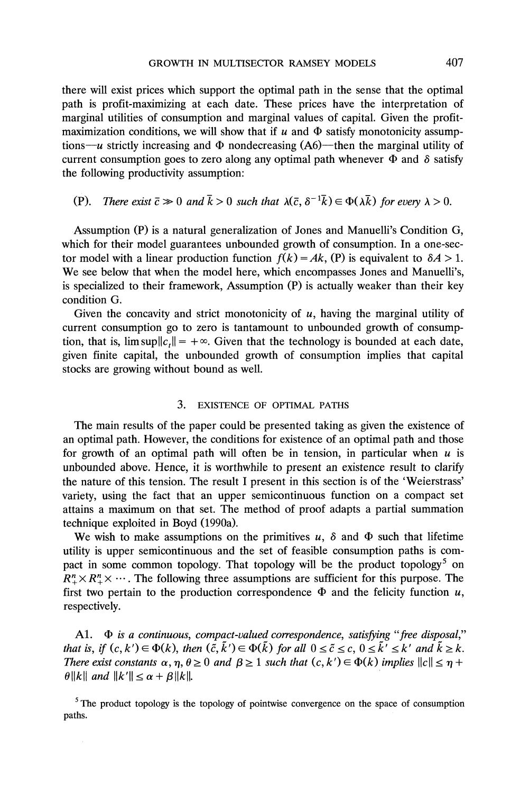**there will exist prices which support the optimal path in the sense that the optimal path is profit-maximizing at each date. These prices have the interpretation of marginal utilities of consumption and marginal values of capital. Given the profit**maximization conditions, we will show that if  $u$  and  $\Phi$  satisfy monotonicity assumptions- $u$  strictly increasing and  $\Phi$  nondecreasing (A6)-then the marginal utility of current consumption goes to zero along any optimal path whenever  $\Phi$  and  $\delta$  satisfy **the following productivity assumption:** 

# **(P).** There exist  $\bar{c} \gg 0$  and  $\bar{k} > 0$  such that  $\lambda(\bar{c}, \delta^{-1}\bar{k}) \in \Phi(\lambda \bar{k})$  for every  $\lambda > 0$ .

**Assumption (P) is a natural generalization of Jones and Manuelli's Condition G, which for their model guarantees unbounded growth of consumption. In a one-sec**tor model with a linear production function  $f(k) = Ak$ , (P) is equivalent to  $\delta A > 1$ . **We see below that when the model here, which encompasses Jones and Manuelli's, is specialized to their framework, Assumption (P) is actually weaker than their key condition G.** 

**Given the concavity and strict monotonicity of u, having the marginal utility of current consumption go to zero is tantamount to unbounded growth of consump**tion, that is,  $\limsup ||c|| = +\infty$ . Given that the technology is bounded at each date, **given finite capital, the unbounded growth of consumption implies that capital stocks are growing without bound as well.** 

## **3. EXISTENCE OF OPTIMAL PATHS**

**The main results of the paper could be presented taking as given the existence of an optimal path. However, the conditions for existence of an optimal path and those**  for growth of an optimal path will often be in tension, in particular when  $u$  is **unbounded above. Hence, it is worthwhile to present an existence result to clarify the nature of this tension. The result I present in this section is of the 'Weierstrass' variety, using the fact that an upper semicontinuous function on a compact set attains a maximum on that set. The method of proof adapts a partial summation technique exploited in Boyd (1990a).** 

We wish to make assumptions on the primitives  $u$ ,  $\delta$  and  $\Phi$  such that lifetime **utility is upper semicontinuous and the set of feasible consumption paths is compact in some common topology. That topology will be the product topology5 on**   $R_+^n \times R_+^n \times \cdots$ . The following three assumptions are sufficient for this purpose. The first two pertain to the production correspondence  $\Phi$  and the felicity function  $u$ , **respectively.** 

A1.  $\Phi$  is a continuous, compact-valued correspondence, satisfying "free disposal," that is, if  $(c, k') \in \Phi(k)$ , then  $(\tilde{c}, \tilde{k}') \in \Phi(\tilde{k})$  for all  $0 \leq \tilde{c} \leq c$ ,  $0 \leq \tilde{k}' \leq k'$  and  $\tilde{k} \geq k$ . **There exist constants**  $\alpha, \eta, \theta \ge 0$  **and**  $\beta \ge 1$  **such that**  $(c, k') \in \Phi(k)$  **implies**  $||c|| \le \eta + \theta$  $\theta$ ||k|| and ||k'||  $\leq \alpha + \beta$ ||k||.

<sup>5</sup>**The product topology is the topology of pointwise convergence on the space of consumption paths.**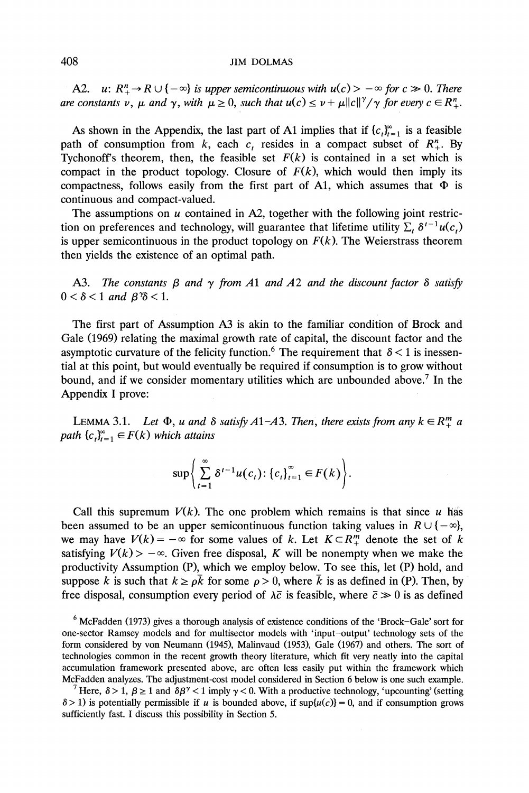**A2.**  $u: R_{+}^{n} \to R \cup \{-\infty\}$  is upper semicontinuous with  $u(c) > -\infty$  for  $c \gg 0$ . There **are constants v,**  $\mu$  **and**  $\gamma$ **, with**  $\mu \geq 0$ **, such that**  $u(c) \leq \nu + \mu ||c||^{\gamma}/\gamma$  **for every**  $c \in R_{+}^{n}$ **.** 

As shown in the Appendix, the last part of A1 implies that if  ${c_i}_{i=1}^{\infty}$  is a feasible path of consumption from k, each  $c_t$  resides in a compact subset of  $R^n_+$ . By Tychonoff's theorem, then, the feasible set  $F(k)$  is contained in a set which is compact in the product topology. Closure of  $F(k)$ , which would then imply its compactness, follows easily from the first part of A1, which assumes that  $\Phi$  is **continuous and compact-valued.** 

The assumptions on *u* contained in A2, together with the following joint restriction on preferences and technology, will guarantee that lifetime utility  $\sum_t \delta^{t-1} u(c_t)$ is upper semicontinuous in the product topology on  $F(k)$ . The Weierstrass theorem **then yields the existence of an optimal path.** 

**A3.** The constants  $\beta$  and  $\gamma$  from A1 and A2 and the discount factor  $\delta$  satisfy  $0 < \delta < 1$  and  $\beta\% < 1$ .

**The first part of Assumption A3 is akin to the familiar condition of Brock and Gale (1969) relating the maximal growth rate of capital, the discount factor and the**  asymptotic curvature of the felicity function.<sup>6</sup> The requirement that  $\delta$  < 1 is inessen**tial at this point, but would eventually be required if consumption is to grow without bound, and if we consider momentary utilities which are unbounded above.7 In the Appendix I prove:** 

**LEMMA 3.1.** Let  $\Phi$ , u and  $\delta$  satisfy A1-A3. Then, there exists from any  $k \in R_+^m$  a *path*  ${c_n}_{t=1}^{\infty} \in F(k)$  which attains

$$
\sup \bigg\{\sum_{t=1}^{\infty} \delta^{t-1} u(c_t): \{c_t\}_{t=1}^{\infty} \in F(k)\bigg\}.
$$

Call this supremum  $V(k)$ . The one problem which remains is that since u has been assumed to be an upper semicontinuous function taking values in  $R \cup \{-\infty\}$ , we may have  $V(k) = -\infty$  for some values of k. Let  $K \subset \mathbb{R}^m_+$  denote the set of k satisfying  $V(k) > -\infty$ . Given free disposal, K will be nonempty when we make the **productivity Assumption (P), which we employ below. To see this, let (P) hold, and**  suppose k is such that  $k \ge \rho \bar{k}$  for some  $\rho > 0$ , where  $\bar{k}$  is as defined in (P). Then, by free disposal, consumption every period of  $\lambda \bar{c}$  is feasible, where  $\bar{c} \gg 0$  is as defined

**<sup>6</sup>McFadden (1973) gives a thorough analysis of existence conditions of the 'Brock-Gale' sort for one-sector Ramsey models and for multisector models with 'input-output' technology sets of the form considered by von Neumann (1945), Malinvaud (1953), Gale (1967) and others. The sort of technologies common in the recent growth theory literature, which fit very neatly into the capital accumulation framework presented above, are often less easily put within the framework which McFadden analyzes. The adjustment-cost model considered in Section 6 below is one such example.** 

*P* **Here,**  $\delta > 1$ **,**  $\beta \ge 1$  **and**  $\delta \beta^{\gamma} < 1$  **imply**  $\gamma < 0$ **. With a productive technology, 'upcounting' (setting**  $8 > 1$ ) is potentially permissible if u is bounded above, if  $\sup\{u(c)\} = 0$ , and if consumption grows **sufficiently fast. I discuss this possibility in Section 5.**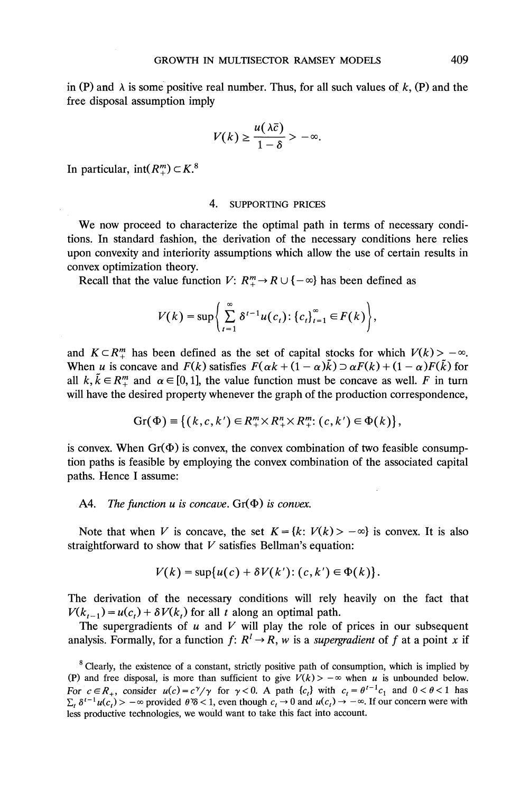in  $(P)$  and  $\lambda$  is some positive real number. Thus, for all such values of  $k$ ,  $(P)$  and the **free disposal assumption imply** 

$$
V(k) \geq \frac{u(\lambda \bar{c})}{1-\delta} > -\infty.
$$

In particular,  $int(R_{+}^{m}) \subset K$ .<sup>8</sup>

#### **4. SUPPORTING PRICES**

**We now proceed to characterize the optimal path in terms of necessary conditions. In standard fashion, the derivation of the necessary conditions here relies upon convexity and interiority assumptions which allow the use of certain results in convex optimization theory.** 

**Recall that the value function V:**  $R_+^m \to R \cup \{-\infty\}$  has been defined as

$$
V(k) = \sup \left\{ \sum_{t=1}^{\infty} \delta^{t-1} u(c_t) : \left\{ c_t \right\}_{t=1}^{\infty} \in F(k) \right\},\
$$

and  $K \subset R_+^m$  has been defined as the set of capital stocks for which  $V(k) > -\infty$ . When u is concave and  $F(k)$  satisfies  $F(\alpha k + (1 - \alpha)k) \supset \alpha F(k) + (1 - \alpha)F(k)$  for all  $k, \tilde{k} \in \mathbb{R}^m_+$  and  $\alpha \in [0, 1]$ , the value function must be concave as well. F in turn **will have the desired property whenever the graph of the production correspondence,** 

$$
\mathrm{Gr}(\Phi) \equiv \{ (k,c,k') \in R_+^m \times R_+^n \times R_+^m : (c,k') \in \Phi(k) \}
$$

is convex. When  $Gr(\Phi)$  is convex, the convex combination of two feasible consump**tion paths is feasible by employing the convex combination of the associated capital paths. Hence I assume:** 

### A4. The function  $u$  is concave.  $Gr(\Phi)$  is convex.

Note that when V is concave, the set  $K = \{k: V(k) > -\infty\}$  is convex. It is also **straightforward to show that V satisfies Bellman's equation:** 

$$
V(k) = \sup \{u(c) + \delta V(k'): (c, k') \in \Phi(k)\}.
$$

**The derivation of the necessary conditions will rely heavily on the fact that**   $V(k_{t-1}) = u(c_t) + \delta V(k_t)$  for all t along an optimal path.

The supergradients of  $u$  and  $V$  will play the role of prices in our subsequent analysis. Formally, for a function  $f: R^l \to R$ , w is a *supergradient* of f at a point x if

**<sup>8</sup> Clearly, the existence of a constant, strictly positive path of consumption, which is implied by**  (P) and free disposal, is more than sufficient to give  $V(k)$  >  $-\infty$  when u is unbounded below. For  $c \in R_+$ , consider  $u(c) = c^{\gamma}/\gamma$  for  $\gamma < 0$ . A path  $\{c_i\}$  with  $c_i = \theta^{i-1}c_1$  and  $0 < \theta < 1$  has  $\sum_{i} \delta^{i-1} u(c_i) > -\infty$  provided  $\theta\% < 1$ , even though  $c_i \to 0$  and  $u(c_i) \to -\infty$ . If our concern were with **less productive technologies, we would want to take this fact into account.**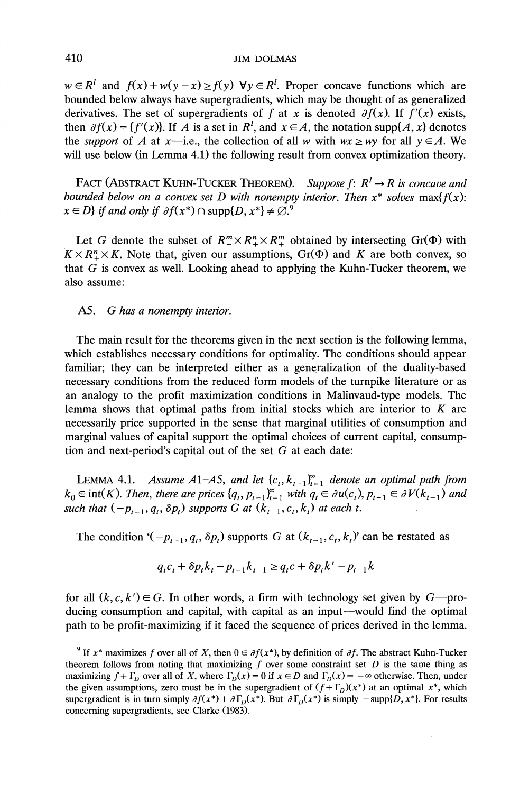$w \in R^l$  and  $f(x) + w(y - x) \ge f(y)$   $\forall y \in R^l$ . Proper concave functions which are **bounded below always have supergradients, which may be thought of as generalized**  derivatives. The set of supergradients of f at x is denoted  $\partial f(x)$ . If  $f'(x)$  exists, then  $\partial f(x) = \{f'(x)\}\)$ . If A is a set in  $R^l$ , and  $x \in A$ , the notation supp $\{A, x\}$  denotes the *support* of A at x-i.e., the collection of all w with  $wx \ge wy$  for all  $y \in A$ . We will use below (in Lemma 4.1) the following result from convex optimization theory.

FACT (ABSTRACT KUHN-TUCKER THEOREM). Suppose  $f: R^l \to R$  is concave and bounded below on a convex set D with nonempty interior. Then  $x^*$  solves max $\{f(x):$  $x \in D$  if and only if  $\partial f(x^*) \cap \text{supp}{D, x^*} \neq \emptyset$ .

Let G denote the subset of  $R_{+}^{m} \times R_{+}^{n} \times R_{+}^{m}$  obtained by intersecting Gr( $\Phi$ ) with  $K \times R^n + K$ . Note that, given our assumptions,  $Gr(\Phi)$  and K are both convex, so **that G is convex as well. Looking ahead to applying the Kuhn-Tucker theorem, we also assume:** 

# **A5. G has a nonempty interior.**

**The main result for the theorems given in the next section is the following lemma, which establishes necessary conditions for optimality. The conditions should appear familiar; they can be interpreted either as a generalization of the duality-based necessary conditions from the reduced form models of the turnpike literature or as an analogy to the profit maximization conditions in Malinvaud-type models. The lemma shows that optimal paths from initial stocks which are interior to K are necessarily price supported in the sense that marginal utilities of consumption and marginal values of capital support the optimal choices of current capital, consumption and next-period's capital out of the set G at each date:** 

**LEMMA 4.1.** Assume A1-A5, and let  $\{c_t, k_{t-1}\}_{t=1}^{\infty}$  denote an optimal path from  $k_0 \in \text{int}(K)$ . Then, there are prices  $\{q_t, p_{t-1}\}_{t=1}^{\infty}$  with  $q_t \in \partial u(c_t), p_{t-1} \in \partial V(k_{t-1})$  and such that  $(-p_{t-1}, q_t, \delta p_t)$  supports G at  $(k_{t-1}, c_t, k_t)$  at each t.

The condition ' $(-p_{t-1}, q_t, \delta p_t)$  supports G at  $(k_{t-1}, c_t, k_t)$ ' can be restated as

$$
q_t c_t + \delta p_t k_t - p_{t-1} k_{t-1} \ge q_t c + \delta p_t k' - p_{t-1} k
$$

for all  $(k, c, k') \in G$ . In other words, a firm with technology set given by  $G$ —producing consumption and capital, with capital as an input-would find the optimal **path to be profit-maximizing if it faced the sequence of prices derived in the lemma.** 

<sup>&</sup>lt;sup>9</sup> If  $x^*$  maximizes f over all of X, then  $0 \in \partial f(x^*)$ , by definition of  $\partial f$ . The abstract Kuhn-Tucker theorem follows from noting that maximizing  $f$  over some constraint set  $D$  is the same thing as maximizing  $f + \Gamma_D$  over all of X, where  $\Gamma_D(x) = 0$  if  $x \in D$  and  $\Gamma_D(x) = -\infty$  otherwise. Then, under the given assumptions, zero must be in the supergradient of  $(f + \Gamma_D)(x^*)$  at an optimal  $x^*$ , which supergradient is in turn simply  $\partial f(x^*) + \partial \Gamma_D(x^*)$ . But  $\partial \Gamma_D(x^*)$  is simply  $-\text{supp}\{D, x^*\}$ . For results **concerning supergradients, see Clarke (1983).**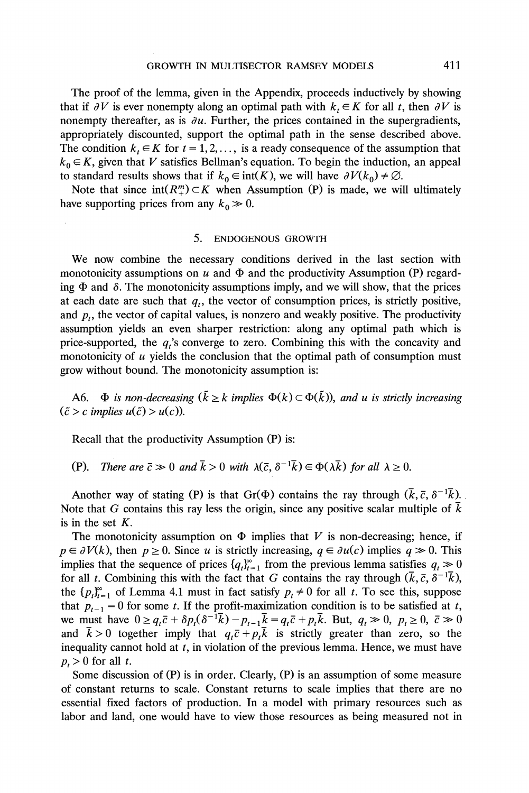**The proof of the lemma, given in the Appendix, proceeds inductively by showing**  that if  $\partial V$  is ever nonempty along an optimal path with  $k_t \in K$  for all t, then  $\partial V$  is nonempty thereafter, as is  $\partial u$ . Further, the prices contained in the supergradients, **appropriately discounted, support the optimal path in the sense described above.**  The condition  $k_t \in K$  for  $t = 1, 2, \ldots$ , is a ready consequence of the assumption that  $k_0 \in K$ , given that V satisfies Bellman's equation. To begin the induction, an appeal **to standard results shows that if**  $k_0 \in \text{int}(K)$ **, we will have**  $\partial V(k_0) \neq \emptyset$ **.** 

Note that since  $int(R_{+}^{m}) \subset K$  when Assumption (P) is made, we will ultimately have supporting prices from any  $k_0 \gg 0$ .

#### **5. ENDOGENOUS GROWTH**

**We now combine the necessary conditions derived in the last section with**  monotonicity assumptions on u and  $\Phi$  and the productivity Assumption (P) regarding  $\Phi$  and  $\delta$ . The monotonicity assumptions imply, and we will show, that the prices at each date are such that  $q_t$ , the vector of consumption prices, is strictly positive, and  $p_t$ , the vector of capital values, is nonzero and weakly positive. The productivity **assumption yields an even sharper restriction: along any optimal path which is**  price-supported, the  $q_i$ 's converge to zero. Combining this with the concavity and **monotonicity of u yields the conclusion that the optimal path of consumption must grow without bound. The monotonicity assumption is:** 

A6.  $\Phi$  is non-decreasing  $(\bar{k} \geq k \text{ implies } \Phi(k) \subset \Phi(\tilde{k}))$ , and u is strictly increasing  $({\tilde{c}} > c$  *implies*  $u({\tilde{c}}) > u(c)$ *).* 

**Recall that the productivity Assumption (P) is:** 

**(P).** There are  $\bar{c} \gg 0$  and  $\bar{k} > 0$  with  $\lambda(\bar{c}, \delta^{-1}\bar{k}) \in \Phi(\lambda \bar{k})$  for all  $\lambda \geq 0$ .

Another way of stating (P) is that  $Gr(\Phi)$  contains the ray through  $(\bar{k}, \bar{c}, \delta^{-1}\bar{k})$ . **Note that G contains this ray less the origin, since any positive scalar multiple of k is in the set K.** 

The monotonicity assumption on  $\Phi$  implies that V is non-decreasing; hence, if  $p \in \partial V(k)$ , then  $p \ge 0$ . Since u is strictly increasing,  $q \in \partial u(c)$  implies  $q \gg 0$ . This implies that the sequence of prices  $\{q_t\}_{t=1}^{\infty}$  from the previous lemma satisfies  $q_t \gg 0$ for all t. Combining this with the fact that G contains the ray through  $(\bar{k}, \bar{c}, \delta^{-1}\bar{k})$ , the  $\{p_t\}_{t=1}^{\infty}$  of Lemma 4.1 must in fact satisfy  $p_t \neq 0$  for all t. To see this, suppose that  $p_{t-1} = 0$  for some t. If the profit-maximization condition is to be satisfied at t, we must have  $0 \ge q_t \bar{c} + \delta p_t (\delta^{-1} \bar{k}) - p_{t-1} \bar{k} = q_t \bar{c} + p_t \bar{k}$ . But,  $q_t \gg 0$ ,  $p_t \ge 0$ ,  $\bar{c} \gg 0$ and  $\bar{k} > 0$  together imply that  $q_t \bar{c} + p_t \bar{k}$  is strictly greater than zero, so the **inequality cannot hold at t, in violation of the previous lemma. Hence, we must have**   $p_t > 0$  for all t.

**Some discussion of (P) is in order. Clearly, (P) is an assumption of some measure of constant returns to scale. Constant returns to scale implies that there are no essential fixed factors of production. In a model with primary resources such as labor and land, one would have to view those resources as being measured not in**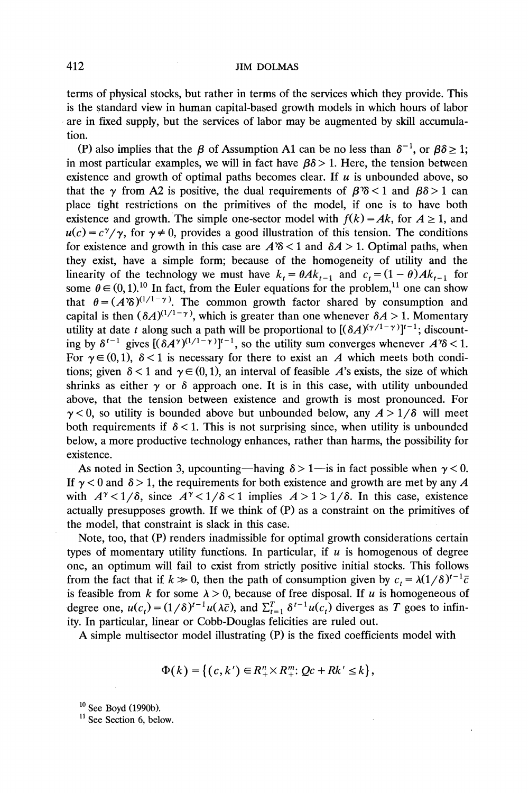**terms of physical stocks, but rather in terms of the services which they provide. This is the standard view in human capital-based growth models in which hours of labor are in fixed supply, but the services of labor may be augmented by skill accumulation.** 

**(P)** also implies that the  $\beta$  of Assumption A1 can be no less than  $\delta^{-1}$ , or  $\beta \delta \ge 1$ ; in most particular examples, we will in fact have  $\beta \delta > 1$ . Here, the tension between existence and growth of optimal paths becomes clear. If  $u$  is unbounded above, so **that the**  $\gamma$  **from A2 is positive, the dual requirements of**  $\beta$ **<sup>3</sup>** $\delta$  **< 1 and**  $\beta$  $\delta$  **> 1 can place tight restrictions on the primitives of the model, if one is to have both**  existence and growth. The simple one-sector model with  $f(k) = Ak$ , for  $A \ge 1$ , and  $u(c) = c^{\gamma}/\gamma$ , for  $\gamma \neq 0$ , provides a good illustration of this tension. The conditions for existence and growth in this case are  $A\%$  < 1 and  $\delta A$  > 1. Optimal paths, when **they exist, have a simple form; because of the homogeneity of utility and the**  linearity of the technology we must have  $k_t = \theta A k_{t-1}$  and  $c_t = (1 - \theta) A k_{t-1}$  for some  $\theta \in (0, 1)$ .<sup>10</sup> In fact, from the Euler equations for the problem,<sup>11</sup> one can show that  $\theta = (A\delta)^{(1/1-\gamma)}$ . The common growth factor shared by consumption and capital is then  $(\delta A)^{(1/1-\gamma)}$ , which is greater than one whenever  $\delta A > 1$ . Momentary **utility at date t along such a path will be proportional to**  $[(\delta A)^{(\gamma/1-\gamma)}]^{t-1}$ **; discount**ing by  $\delta^{t-1}$  gives  $[(\delta A^{\gamma})^{(1/1-\gamma)}]^{t-1}$ , so the utility sum converges whenever  $A^{\gamma}\delta < 1$ . For  $\gamma \in (0, 1)$ ,  $\delta < 1$  is necessary for there to exist an A which meets both conditions; given  $\delta$  < 1 and  $\gamma$   $\in$  (0, 1), an interval of feasible A's exists, the size of which shrinks as either  $\gamma$  or  $\delta$  approach one. It is in this case, with utility unbounded **above, that the tension between existence and growth is most pronounced. For**   $\gamma$  < 0, so utility is bounded above but unbounded below, any  $A > 1/\delta$  will meet both requirements if  $\delta$  < 1. This is not surprising since, when utility is unbounded **below, a more productive technology enhances, rather than harms, the possibility for existence.** 

As noted in Section 3, upcounting—having  $\delta > 1$ —is in fact possible when  $\gamma < 0$ . If  $\gamma$  < 0 and  $\delta$  > 1, the requirements for both existence and growth are met by any A with  $A^{\gamma} < 1/\delta$ , since  $A^{\gamma} < 1/\delta < 1$  implies  $A > 1 > 1/\delta$ . In this case, existence **actually presupposes growth. If we think of (P) as a constraint on the primitives of the model, that constraint is slack in this case.** 

**Note, too, that (P) renders inadmissible for optimal growth considerations certain**  types of momentary utility functions. In particular, if  $u$  is homogenous of degree **one, an optimum will fail to exist from strictly positive initial stocks. This follows**  from the fact that if  $k \gg 0$ , then the path of consumption given by  $c_t = \lambda (1/\delta)^{t-1} \bar{c}$ is feasible from k for some  $\lambda > 0$ , because of free disposal. If u is homogeneous of degree one,  $u(c_t) = (1/\delta)^{t-1} u(\lambda \bar{c})$ , and  $\sum_{t=1}^{T} \delta^{t-1} u(c_t)$  diverges as T goes to infin**ity. In particular, linear or Cobb-Douglas felicities are ruled out.** 

**A simple multisector model illustrating (P) is the fixed coefficients model with** 

$$
\Phi(k) = \left\{ (c, k') \in R_+^n \times R_+^m: Qc + Rk' \leq k \right\},\
$$

**<sup>10</sup>See Boyd (1990b).** 

<sup>&</sup>lt;sup>11</sup> See Section 6, below.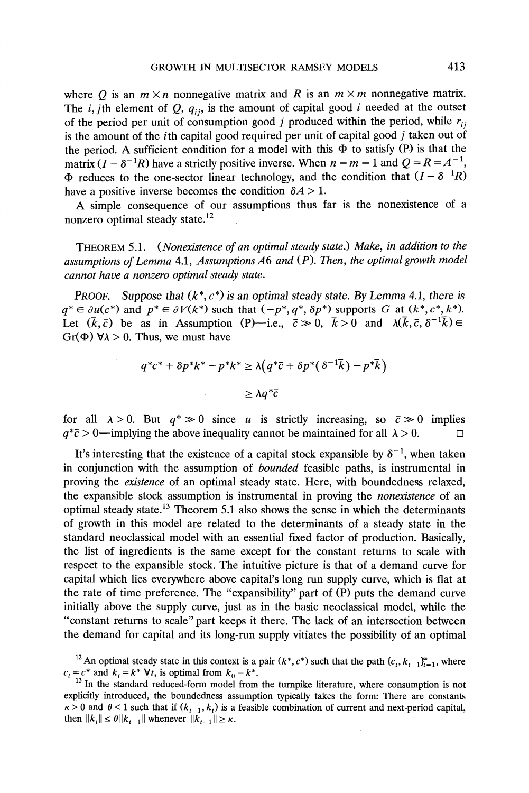where Q is an  $m \times n$  nonnegative matrix and R is an  $m \times m$  nonnegative matrix. The *i*, *j*th element of  $Q$ ,  $q_{ii}$ , is the amount of capital good *i* needed at the outset of the period per unit of consumption good j produced within the period, while  $r_{ij}$ is the amount of the *i*th capital good required per unit of capital good *j* taken out of the period. A sufficient condition for a model with this  $\Phi$  to satisfy (P) is that the matrix  $(I - \delta^{-1}R)$  have a strictly positive inverse. When  $n = m = 1$  and  $Q = R = A^{-1}$ ,  $\Phi$  reduces to the one-sector linear technology, and the condition that  $(I - \delta^{-1}R)$ have a positive inverse becomes the condition  $\delta A > 1$ .

**A simple consequence of our assumptions thus far is the nonexistence of a nonzero optimal steady state.12** 

**THEOREM 5.1. (Nonexistence of an optimal steady state.) Make, in addition to the assumptions of Lemma 4.1, AssumptionsA6 and (P). Then, the optimal growth model cannot have a nonzero optimal steady state.** 

**PROOF.** Suppose that  $(k^*, c^*)$  is an optimal steady state. By Lemma 4.1, there is  $q^* \in \partial u(c^*)$  and  $p^* \in \partial V(k^*)$  such that  $(-p^*, q^*, \delta p^*)$  supports G at  $(k^*, c^*, k^*)$ . Let  $(\bar{k}, \bar{c})$  be as in Assumption (P)-i.e.,  $\bar{c} \gg 0$ ,  $\bar{k} > 0$  and  $\lambda(\bar{k}, \bar{c}, \delta^{-1}\bar{k}) \in$ Gr( $\Phi$ )  $\forall \lambda > 0$ . Thus, we must have

$$
q^*c^* + \delta p^*k^* - p^*k^* \ge \lambda \left( q^* \bar{c} + \delta p^* (\delta^{-1} \bar{k}) - p^* \bar{k} \right)
$$
  

$$
\ge \lambda q^* \bar{c}
$$

for all  $\lambda > 0$ . But  $q^* \gg 0$  since u is strictly increasing, so  $\bar{c} \gg 0$  implies  $q^*\bar{c} > 0$ —implying the above inequality cannot be maintained for all  $\lambda > 0$ .

It's interesting that the existence of a capital stock expansible by  $\delta^{-1}$ , when taken **in conjunction with the assumption of bounded feasible paths, is instrumental in proving the existence of an optimal steady state. Here, with boundedness relaxed, the expansible stock assumption is instrumental in proving the nonexistence of an optimal steady state.13 Theorem 5.1 also shows the sense in which the determinants of growth in this model are related to the determinants of a steady state in the standard neoclassical model with an essential fixed factor of production. Basically, the list of ingredients is the same except for the constant returns to scale with respect to the expansible stock. The intuitive picture is that of a demand curve for capital which lies everywhere above capital's long run supply curve, which is flat at the rate of time preference. The "expansibility" part of (P) puts the demand curve initially above the supply curve, just as in the basic neoclassical model, while the "constant returns to scale" part keeps it there. The lack of an intersection between the demand for capital and its long-run supply vitiates the possibility of an optimal** 

<sup>&</sup>lt;sup>12</sup> An optimal steady state in this context is a pair  $(k^*, c^*)$  such that the path  $\{c_i, k_{t-1}\}_{t=1}^{\infty}$ , where  $c_t = c^*$  and  $k_t = k^*$   $\forall t$ , is optimal from  $k_0 = k^*$ .

<sup>&</sup>lt;sup>13</sup> In the standard reduced-form model from the turnpike literature, where consumption is not **explicitly introduced, the boundedness assumption typically takes the form: There are constants**   $\kappa > 0$  and  $\theta < 1$  such that if  $(k_{t-1}, k_t)$  is a feasible combination of current and next-period capital, **then**  $||k_t|| \le \theta ||k_{t-1}||$  whenever  $||k_{t-1}|| \ge \kappa$ .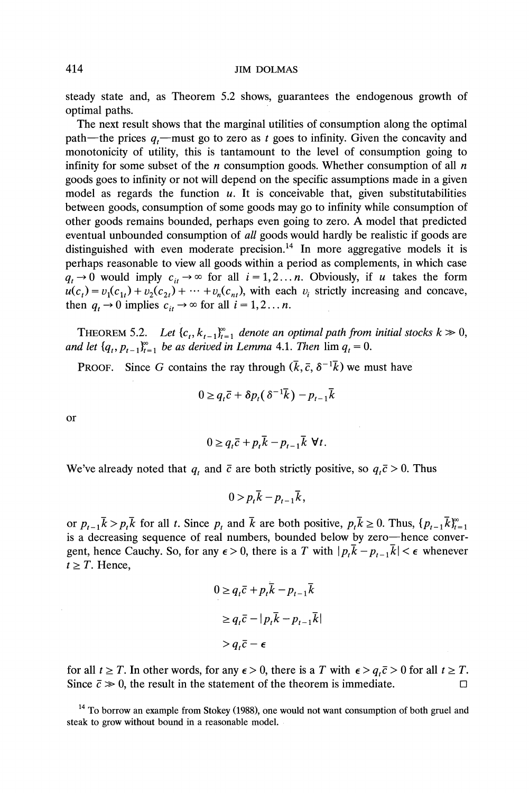**steady state and, as Theorem 5.2 shows, guarantees the endogenous growth of optimal paths.** 

**The next result shows that the marginal utilities of consumption along the optimal**  path—the prices  $q_i$ —must go to zero as t goes to infinity. Given the concavity and **monotonicity of utility, this is tantamount to the level of consumption going to**  infinity for some subset of the  $n$  consumption goods. Whether consumption of all  $n$ **goods goes to infinity or not will depend on the specific assumptions made in a given model as regards the function u. It is conceivable that, given substitutabilities between goods, consumption of some goods may go to infinity while consumption of other goods remains bounded, perhaps even going to zero. A model that predicted eventual unbounded consumption of all goods would hardly be realistic if goods are**  distinguished with even moderate precision.<sup>14</sup> In more aggregative models it is **perhaps reasonable to view all goods within a period as complements, in which case**   $q_t \rightarrow 0$  would imply  $c_{it} \rightarrow \infty$  for all  $i = 1, 2...$  *n*. Obviously, if *u* takes the form  $\mu(c_t) = v_1(c_{1t}) + v_2(c_{2t}) + \cdots + v_n(c_{nt}),$  with each  $v_i$  strictly increasing and concave, then  $q_t \to 0$  implies  $c_{it} \to \infty$  for all  $i = 1, 2...$  *n*.

**THEOREM 5.2.** Let  $\{c_t, k_{t-1}\}_{t=1}^{\infty}$  denote an optimal path from initial stocks  $k \ge 0$ , and let  $\{q_t, p_{t-1}\}_{t=1}^{\infty}$  be as derived in Lemma 4.1. Then  $\lim_{t \to \infty} q_t = 0$ .

**PROOF.** Since G contains the ray through  $(\bar{k}, \bar{c}, \delta^{-1}\bar{k})$  we must have

$$
0 \geq q_t \bar{c} + \delta p_t (\delta^{-1} \bar{k}) - p_{t-1} \bar{k}
$$

**or** 

$$
0 \ge q_t \bar{c} + p_t \bar{k} - p_{t-1} \bar{k} \ \forall t.
$$

We've already noted that  $q_t$  and  $\bar{c}$  are both strictly positive, so  $q_t\bar{c} > 0$ . Thus

$$
0 > p_t \overline{k} - p_{t-1} \overline{k},
$$

or  $p_{t-1}\overline{k} > p_t\overline{k}$  for all t. Since  $p_t$  and  $\overline{k}$  are both positive,  $p_t\overline{k} \ge 0$ . Thus,  $\{p_{t-1}\overline{k}\}_{t=1}^{\infty}$ **is a decreasing sequence of real numbers, bounded below by zero-hence convergent, hence Cauchy. So, for any**  $\epsilon > 0$ **, there is a T with**  $|p_t \overline{k} - p_{t-1} \overline{k}| < \epsilon$  **whenever**  $t \geq T$ . Hence,

$$
0 \ge q_t \overline{c} + p_t \overline{k} - p_{t-1} \overline{k}
$$
  
\n
$$
\ge q_t \overline{c} - |p_t \overline{k} - p_{t-1} \overline{k}|
$$
  
\n
$$
> q_t \overline{c} - \epsilon
$$

for all  $t \geq T$ . In other words, for any  $\epsilon > 0$ , there is a T with  $\epsilon > q$ ,  $\bar{c} > 0$  for all  $t \geq T$ . Since  $\bar{c} \gg 0$ , the result in the statement of the theorem is immediate.

**<sup>14</sup>To borrow an example from Stokey (1988), one would not want consumption of both gruel and steak to grow without bound in a reasonable model.**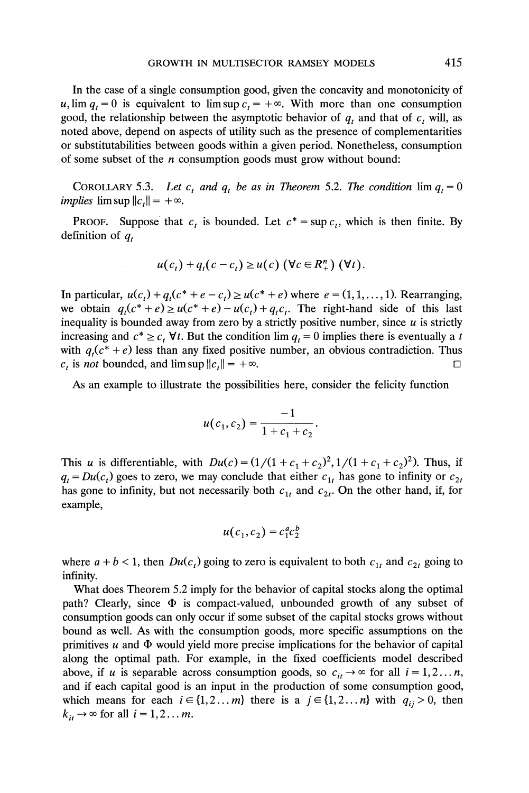**In the case of a single consumption good, given the concavity and monotonicity of**   $u$ ,  $\lim q_t = 0$  is equivalent to  $\limsup c_t = +\infty$ . With more than one consumption **good, the relationship between the asymptotic behavior of q, and that of c, will, as noted above, depend on aspects of utility such as the presence of complementarities or substitutabilities between goods within a given period. Nonetheless, consumption of some subset of the n consumption goods must grow without bound:** 

**COROLLARY 5.3.** Let  $c_t$  and  $q_t$  be as in Theorem 5.2. The condition  $\lim_{t \to \infty} q_t = 0$ *implies*  $\limsup ||c_t|| = +\infty$ .

**PROOF.** Suppose that  $c_t$  is bounded. Let  $c^* = \sup c_t$ , which is then finite. By definition of  $q_t$ 

$$
u(c_t)+q_t(c-c_t) \geq u(c) \left(\forall c \in R_+^n\right) (\forall t).
$$

**In particular,**  $u(c_t) + q_t(c^* + e - c_t) \ge u(c^* + e)$  where  $e = (1, 1, ..., 1)$ . Rearranging, we obtain  $q_t(c^* + e) \ge u(c^* + e) - u(c_t) + q_t c_t$ . The right-hand side of this last inequality is bounded away from zero by a strictly positive number, since  $u$  is strictly increasing and  $c^* \geq c_t$  **V**t. But the condition lim  $q_t = 0$  implies there is eventually a t with  $q_t(c^* + e)$  less than any fixed positive number, an obvious contradiction. Thus  $c_t$  is *not* bounded, and  $\limsup ||c_t|| = +\infty$ .  $\Box$ 

**As an example to illustrate the possibilities here, consider the felicity function** 

$$
u(c_1, c_2) = \frac{-1}{1 + c_1 + c_2}
$$

This u is differentiable, with  $Du(c) = (1/(1 + c_1 + c_2)^2, 1/(1 + c_1 + c_2)^2)$ . Thus, if  $q_t = Du(c_t)$  goes to zero, we may conclude that either  $c_{1t}$  has gone to infinity or  $c_{2t}$ has gone to infinity, but not necessarily both  $c_{1t}$  and  $c_{2t}$ . On the other hand, if, for **example,** 

$$
u(c_1, c_2) = c_1^a c_2^b
$$

where  $a + b < 1$ , then  $Du(c_i)$  going to zero is equivalent to both  $c_{1t}$  and  $c_{2t}$  going to **infinity.** 

**What does Theorem 5.2 imply for the behavior of capital stocks along the optimal**  path? Clearly, since  $\Phi$  is compact-valued, unbounded growth of any subset of **consumption goods can only occur if some subset of the capital stocks grows without bound as well. As with the consumption goods, more specific assumptions on the**  primitives  $u$  and  $\Phi$  would yield more precise implications for the behavior of capital **along the optimal path. For example, in the fixed coefficients model described**  above, if u is separable across consumption goods, so  $c_{ii} \rightarrow \infty$  for all  $i = 1, 2...n$ , **and if each capital good is an input in the production of some consumption good,**  which means for each  $i \in \{1, 2...m\}$  there is a  $j \in \{1, 2...n\}$  with  $q_{ij} > 0$ , then  $k_{it} \rightarrow \infty$  for all  $i = 1, 2...m$ .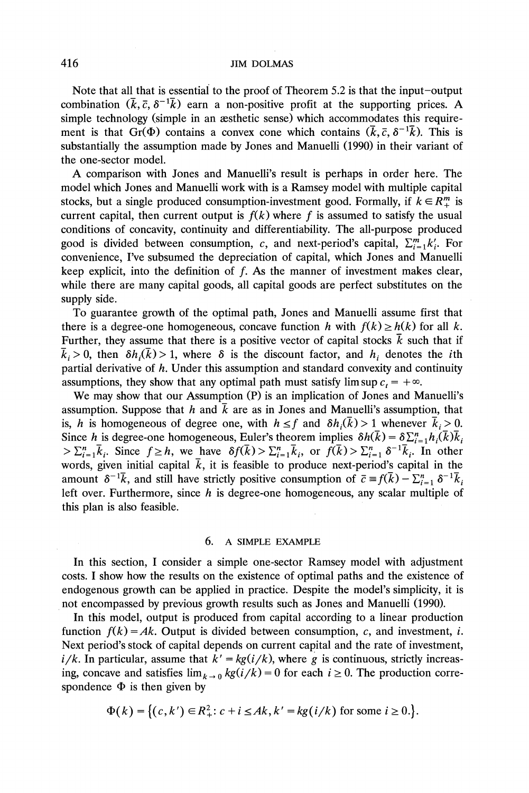**Note that all that is essential to the proof of Theorem 5.2 is that the input-output**  combination  $(\bar{k}, \bar{c}, \delta^{-1}\bar{k})$  earn a non-positive profit at the supporting prices. A **simple technology (simple in an aesthetic sense) which accommodates this require**ment is that Gr( $\Phi$ ) contains a convex cone which contains  $(\bar{k}, \bar{c}, \delta^{-1}\bar{k})$ . This is **substantially the assumption made by Jones and Manuelli (1990) in their variant of the one-sector model.** 

**A comparison with Jones and Manuelli's result is perhaps in order here. The model which Jones and Manuelli work with is a Ramsey model with multiple capital**  stocks, but a single produced consumption-investment good. Formally, if  $k \in R_+^m$  is current capital, then current output is  $f(k)$  where f is assumed to satisfy the usual **conditions of concavity, continuity and differentiability. The all-purpose produced**  good is divided between consumption, c, and next-period's capital,  $\sum_{i=1}^{m} k'_i$ . For **convenience, I've subsumed the depreciation of capital, which Jones and Manuelli keep explicit, into the definition of f. As the manner of investment makes clear, while there are many capital goods, all capital goods are perfect substitutes on the supply side.** 

**To guarantee growth of the optimal path, Jones and Manuelli assume first that**  there is a degree-one homogeneous, concave function h with  $f(k) \ge h(k)$  for all k. Further, they assume that there is a positive vector of capital stocks  $\bar{k}$  such that if  $\bar{k}_i>0$ , then  $\delta h_i(\bar{k})>1$ , where  $\delta$  is the discount factor, and  $h_i$  denotes the *i*th **partial derivative of h. Under this assumption and standard convexity and continuity**  assumptions, they show that any optimal path must satisfy lim sup  $c_t = +\infty$ .

**We may show that our Assumption (P) is an implication of Jones and Manuelli's**  assumption. Suppose that h and  $\bar{k}$  are as in Jones and Manuelli's assumption, that is, h is homogeneous of degree one, with  $h \le f$  and  $\delta h_i(\bar{k}) > 1$  whenever  $\bar{k}_i > 0$ . Since h is degree-one homogeneous, Euler's theorem implies  $\delta h(\bar{k}) = \delta \sum_{i=1}^n h_i(\bar{k}) \bar{k}_i$  $>\sum_{i=1}^{n} \overline{k}_i$ . Since  $f \geq h$ , we have  $\delta f(\overline{k}) > \sum_{i=1}^{n} \overline{k}_i$ , or  $f(\overline{k}) > \sum_{i=1}^{n} \delta^{-1} \overline{k}_i$ . In other words, given initial capital  $\bar{k}$ , it is feasible to produce next-period's capital in the amount  $\delta^{-1}\overline{k}$ , and still have strictly positive consumption of  $\overline{c} = f(\overline{k}) - \sum_{i=1}^{n} \delta^{-1}\overline{k}_{i}$ left over. Furthermore, since h is degree-one homogeneous, any scalar multiple of **this plan is also feasible.** 

#### **6. A SIMPLE EXAMPLE**

**In this section, I consider a simple one-sector Ramsey model with adjustment costs. I show how the results on the existence of optimal paths and the existence of endogenous growth can be applied in practice. Despite the model's simplicity, it is not encompassed by previous growth results such as Jones and Manuelli (1990).** 

**In this model, output is produced from capital according to a linear production**  function  $f(k) = Ak$ . Output is divided between consumption, c, and investment, i. **Next period's stock of capital depends on current capital and the rate of investment,**   $i/k$ . In particular, assume that  $k' = kg(i/k)$ , where g is continuous, strictly increasing, concave and satisfies  $\lim_{k \to 0} \frac{kg(i)}{k} = 0$  for each  $i \ge 0$ . The production correspondence  $\Phi$  is then given by

$$
\Phi(k) = \{(c, k') \in R^2_+ : c + i \leq Ak, k' = kg(i/k) \text{ for some } i \geq 0.\}.
$$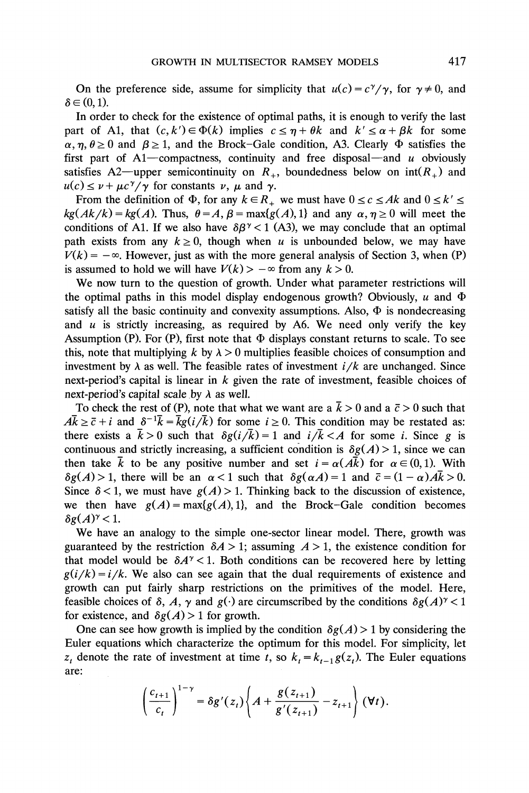On the preference side, assume for simplicity that  $u(c) = c^{\gamma}/\gamma$ , for  $\gamma \neq 0$ , and  $\delta \in (0, 1)$ .

**In order to check for the existence of optimal paths, it is enough to verify the last part of A1, that**  $(c, k') \in \Phi(k)$  implies  $c \leq \eta + \theta k$  and  $k' \leq \alpha + \beta k$  for some  $\alpha$ ,  $\eta$ ,  $\theta \ge 0$  and  $\beta \ge 1$ , and the Brock-Gale condition, A3. Clearly  $\Phi$  satisfies the first part of  $A1$ —compactness, continuity and free disposal—and  $u$  obviously satisfies A2—upper semicontinuity on  $R_{+}$ , boundedness below on  $int(R_{+})$  and  $u(c) \leq \nu + \mu c^{\gamma}/\gamma$  for constants  $\nu$ ,  $\mu$  and  $\gamma$ .

From the definition of  $\Phi$ , for any  $k \in R_+$  we must have  $0 \le c \le Ak$  and  $0 \le k' \le$  $kg(Ak/k) = kg(A)$ . Thus,  $\theta = A$ ,  $\beta = max{g(A), 1}$  and any  $\alpha, \eta \ge 0$  will meet the conditions of A1. If we also have  $\delta \beta^{\gamma} < 1$  (A3), we may conclude that an optimal path exists from any  $k \geq 0$ , though when u is unbounded below, we may have  $V(k) = -\infty$ . However, just as with the more general analysis of Section 3, when (P) is assumed to hold we will have  $V(k) > -\infty$  from any  $k > 0$ .

**We now turn to the question of growth. Under what parameter restrictions will**  the optimal paths in this model display endogenous growth? Obviously,  $u$  and  $\Phi$ satisfy all the basic continuity and convexity assumptions. Also,  $\Phi$  is nondecreasing **and u is strictly increasing, as required by A6. We need only verify the key**  Assumption (P). For (P), first note that  $\Phi$  displays constant returns to scale. To see this, note that multiplying  $k$  by  $\lambda > 0$  multiplies feasible choices of consumption and investment by  $\lambda$  as well. The feasible rates of investment  $i/k$  are unchanged. Since **next-period's capital is linear in k given the rate of investment, feasible choices of**  next-period's capital scale by  $\lambda$  as well.

To check the rest of (P), note that what we want are a  $\bar{k} > 0$  and a  $\bar{c} > 0$  such that  $A\bar{k} \geq \bar{c} + i$  and  $\delta^{-1}\bar{k} = \bar{k}g(i/\bar{k})$  for some  $i \geq 0$ . This condition may be restated as: there exists a  $\bar{k} > 0$  such that  $\delta g(i/\bar{k}) = 1$  and  $i/\bar{k} < A$  for some *i*. Since *g* is continuous and strictly increasing, a sufficient condition is  $\delta g(A) > 1$ , since we can then take  $\bar{k}$  to be any positive number and set  $i = \alpha(A\bar{k})$  for  $\alpha \in (0,1)$ . With  $\delta g(A) > 1$ , there will be an  $\alpha < 1$  such that  $\delta g(\alpha A) = 1$  and  $\bar{c} = (1 - \alpha)A\bar{k} > 0$ . Since  $\delta$  < 1, we must have  $g(A)$  > 1. Thinking back to the discussion of existence, we then have  $g(A) = \max\{g(A), 1\}$ , and the Brock-Gale condition becomes  $\delta g(A)^{\gamma}$  < 1.

**We have an analogy to the simple one-sector linear model. There, growth was**  guaranteed by the restriction  $\delta A > 1$ ; assuming  $A > 1$ , the existence condition for that model would be  $\delta A^{\gamma}$  < 1. Both conditions can be recovered here by letting  $g(i/k) = i/k$ . We also can see again that the dual requirements of existence and **growth can put fairly sharp restrictions on the primitives of the model. Here,**  feasible choices of  $\delta$ , A,  $\gamma$  and  $g(\cdot)$  are circumscribed by the conditions  $\delta g(A)^{\gamma} < 1$ for existence, and  $\delta g(A) > 1$  for growth.

One can see how growth is implied by the condition  $\delta g(A) > 1$  by considering the **Euler equations which characterize the optimum for this model. For simplicity, let**   $z_t$  denote the rate of investment at time t, so  $k_t = k_{t-1} g(z_t)$ . The Euler equations **are:** 

$$
\left(\frac{c_{t+1}}{c_t}\right)^{1-\gamma} = \delta g'(z_t) \left\{ A + \frac{g(z_{t+1})}{g'(z_{t+1})} - z_{t+1} \right\} (\forall t).
$$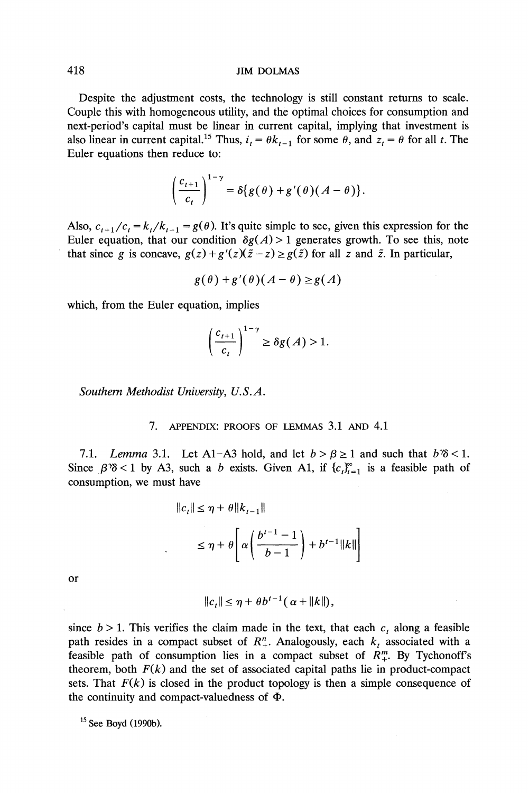**Despite the adjustment costs, the technology is still constant returns to scale. Couple this with homogeneous utility, and the optimal choices for consumption and next-period's capital must be linear in current capital, implying that investment is**  also linear in current capital.<sup>15</sup> Thus,  $i_t = \theta k_{t-1}$  for some  $\theta$ , and  $z_t = \theta$  for all t. The **Euler equations then reduce to:** 

$$
\left(\frac{c_{t+1}}{c_t}\right)^{1-\gamma}=\delta\{g(\theta)+g'(\theta)(A-\theta)\}.
$$

Also,  $c_{t+1}/c_t = k_t/k_{t-1} = g(\theta)$ . It's quite simple to see, given this expression for the Euler equation, that our condition  $\delta g(A) > 1$  generates growth. To see this, note that since g is concave,  $g(z) + g'(z)(\tilde{z} - z) \ge g(\tilde{z})$  for all z and  $\tilde{z}$ . In particular,

$$
g(\theta) + g'(\theta)(A - \theta) \ge g(A)
$$

**which, from the Euler equation, implies** 

$$
\left(\frac{c_{t+1}}{c_t}\right)^{1-\gamma} \ge \delta g(A) > 1.
$$

**Southern Methodist University, U.S.A.** 

**7. APPENDIX: PROOFS OF LEMMAS 3.1 AND 4.1** 

7.1. Lemma 3.1. Let A1-A3 hold, and let  $b > \beta \ge 1$  and such that  $b\% < 1$ . Since  $\beta$ <sup>3</sup>8 < 1 by A3, such a *b* exists. Given A1, if  $\{c_i\}_{i=1}^{\infty}$  is a feasible path of **consumption, we must have** 

$$
||c_t|| \le \eta + \theta ||k_{t-1}||
$$
  

$$
\le \eta + \theta \left[ \alpha \left( \frac{b^{t-1} - 1}{b - 1} \right) + b^{t-1} ||k|| \right]
$$

**or** 

$$
||c_t|| \leq \eta + \theta b^{t-1}(\alpha + ||k||),
$$

since  $b > 1$ . This verifies the claim made in the text, that each  $c<sub>t</sub>$  along a feasible path resides in a compact subset of  $R^n_+$ . Analogously, each  $k_t$  associated with a feasible path of consumption lies in a compact subset of  $R_+^m$ . By Tychonoff's theorem, both  $F(k)$  and the set of associated capital paths lie in product-compact sets. That  $F(k)$  is closed in the product topology is then a simple consequence of the continuity and compact-valuedness of  $\Phi$ .

**15 See Boyd (1990b).**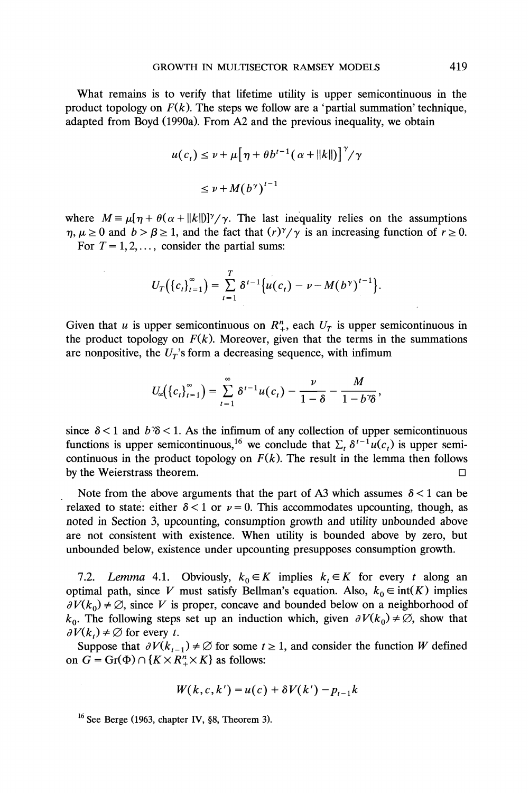**What remains is to verify that lifetime utility is upper semicontinuous in the**  product topology on  $F(k)$ . The steps we follow are a 'partial summation' technique, **adapted from Boyd (1990a). From A2 and the previous inequality, we obtain** 

$$
u(c_t) \le v + \mu \big[\eta + \theta b^{t-1}(\alpha + ||k||)\big]^\gamma / \gamma
$$
  

$$
\le v + M(b^\gamma)^{t-1}
$$

where  $M = \mu [\eta + \theta(\alpha + ||k||)]^{\gamma}/\gamma$ . The last inequality relies on the assumptions  $\eta, \mu \ge 0$  and  $b > \beta \ge 1$ , and the fact that  $(r)^\gamma/\gamma$  is an increasing function of  $r \ge 0$ . For  $T = 1, 2, \ldots$ , consider the partial sums:

$$
U_T((c_t)_{t=1}^{\infty}) = \sum_{t=1}^T \delta^{t-1} \{u(c_t) - \nu - M(b^{\gamma})^{t-1}\}.
$$

Given that u is upper semicontinuous on  $R_+^n$ , each  $U_T$  is upper semicontinuous in the product topology on  $F(k)$ . Moreover, given that the terms in the summations are nonpositive, the  $U_T$ 's form a decreasing sequence, with infimum

$$
U_{\infty}(\left\{c_{t}\right\}_{t=1}^{\infty})=\sum_{t=1}^{\infty}\delta^{t-1}u(c_{t})-\frac{\nu}{1-\delta}-\frac{M}{1-b^{\gamma}\delta},
$$

since  $\delta$  < 1 and  $b$   $\delta$  < 1. As the infimum of any collection of upper semicontinuous functions is upper semicontinuous,<sup>16</sup> we conclude that  $\sum_i \delta^{i-1} u(c_i)$  is upper semicontinuous in the product topology on  $F(k)$ . The result in the lemma then follows **by the Weierstrass theorem.**  $\square$ 

Note from the above arguments that the part of A3 which assumes  $\delta$  < 1 can be relaxed to state: either  $\delta$  < 1 or  $\nu$  = 0. This accommodates upcounting, though, as **noted in Section 3, upcounting, consumption growth and utility unbounded above are not consistent with existence. When utility is bounded above by zero, but unbounded below, existence under upcounting presupposes consumption growth.** 

7.2. Lemma 4.1. Obviously,  $k_0 \in K$  implies  $k_i \in K$  for every t along an **optimal path, since V must satisfy Bellman's equation. Also,**  $k_0 \in \text{int}(K)$  **implies**  $\partial V(k_0) \neq \emptyset$ , since V is proper, concave and bounded below on a neighborhood of  $k_0$ . The following steps set up an induction which, given  $\partial V(k_0) \neq \emptyset$ , show that  $\partial V(k_{t}) \neq \emptyset$  for every t.

Suppose that  $\partial V(k_{t-1}) \neq \emptyset$  for some  $t \geq 1$ , and consider the function W defined on  $G = \text{Gr}(\Phi) \cap \{K \times R^n_+ \times K\}$  as follows:

$$
W(k,c,k') = u(c) + \delta V(k') - p_{t-1}k
$$

<sup>&</sup>lt;sup>16</sup> See Berge (1963, chapter IV, §8, Theorem 3).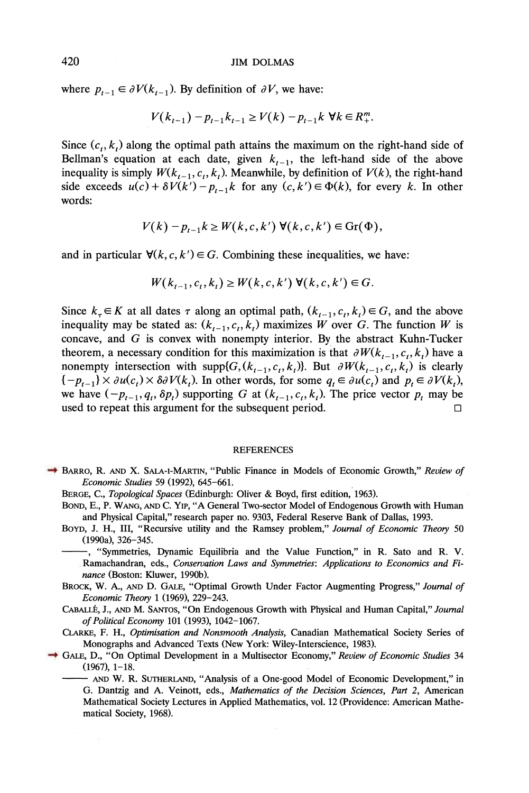where  $p_{t-1} \in \partial V(k_{t-1})$ . By definition of  $\partial V$ , we have:

$$
V(k_{t-1}) - p_{t-1}k_{t-1} \ge V(k) - p_{t-1}k \ \forall k \in R_+^m.
$$

Since  $(c_t, k_t)$  along the optimal path attains the maximum on the right-hand side of Bellman's equation at each date, given  $k_{t-1}$ , the left-hand side of the above inequality is simply  $W(k_{t-1}, c_t, k_t)$ . Meanwhile, by definition of  $V(k)$ , the right-hand side exceeds  $u(c) + \delta V(k') - p_{t-1}k$  for any  $(c, k') \in \Phi(k)$ , for every k. In other **words:** 

$$
V(k) - p_{t-1}k \ge W(k, c, k') \ \forall (k, c, k') \in \mathrm{Gr}(\Phi),
$$

and in particular  $\forall (k, c, k') \in G$ . Combining these inequalities, we have:

$$
W(k_{t-1},c_t,k_t) \ge W(k,c,k') \ \forall (k,c,k') \in G.
$$

Since  $k_{\tau} \in K$  at all dates  $\tau$  along an optimal path,  $(k_{t-1}, c_t, k_t) \in G$ , and the above inequality may be stated as:  $(k_{t-1}, c_t, k_t)$  maximizes W over G. The function W is **concave, and G is convex with nonempty interior. By the abstract Kuhn-Tucker**  theorem, a necessary condition for this maximization is that  $\partial W(k_{t-1}, c_t, k_t)$  have a nonempty intersection with supp $\{G, (k_{t-1}, c_t, k_t)\}$ . But  $\partial W(k_{t-1}, c_t, k_t)$  is clearly  $\{-p_{t-1}\}\times \partial u(c_t)\times \partial \partial V(k_t)$ . In other words, for some  $q_t \in \partial u(c_t)$  and  $p_t \in \partial V(k_t)$ , we have  $(-p_{t-1}, q_t, \delta p_t)$  supporting G at  $(k_{t-1}, c_t, k_t)$ . The price vector  $p_t$  may be used to repeat this argument for the subsequent period.

#### **REFERENCES**

- **BARRO, R. AND X. SALA-1-MARTIN, "Public Finance in Models of Economic Growth," Review of Economic Studies 59 (1992), 645-661.** 
	- **BERGE, C., Topological Spaces (Edinburgh: Oliver & Boyd, first edition, 1963).**
	- **BOND, E., P. WANG, AND C. Yip, "A General Two-sector Model of Endogenous Growth with Human and Physical Capital," research paper no. 9303, Federal Reserve Bank of Dallas, 1993.**
	- **BOYD, J. H., III, "Recursive utility and the Ramsey problem," Journal of Economic Theory 50 (1990a), 326-345.**

**, "Symmetries, Dynamic Equilibria and the Value Function," in R. Sato and R. V. Ramachandran, eds., Conservation Laws and Symmetries: Applications to Economics and Finance (Boston: Kluwer, 1990b).** 

- **BROCK, W. A., AND D. GALE, "Optimal Growth Under Factor Augmenting Progress," Journal of Economic Theory 1 (1969), 229-243.**
- **CABALLf, J., AND M. SANTos, "On Endogenous Growth with Physical and Human Capital," Journal of Political Economy 101 (1993), 1042-1067.**
- **CLARKE, F. H., Optimisation and Nonsmooth Analysis, Canadian Mathematical Society Series of Monographs and Advanced Texts (New York: Wiley-Interscience, 1983).**
- **GALE, D., "On Optimal Development in a Multisector Economy," Review of Economic Studies 34 (1967), 1-18.** 
	- **AND W. R. SUTHERLAND, "Analysis of a One-good Model of Economic Development," in G. Dantzig and A. Veinott, eds., Mathematics of the Decision Sciences, Part 2, American Mathematical Society Lectures in Applied Mathematics, vol. 12 (Providence: American Mathematical Society, 1968).**